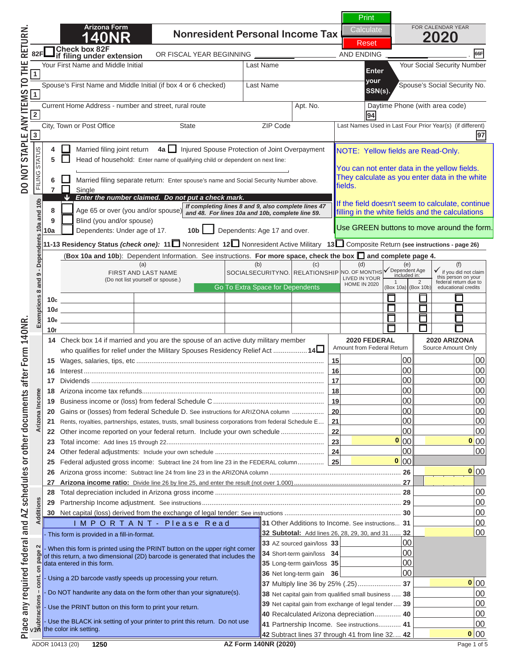# **1400 N O T I C E**

**Arizona Form** 

Spouse's First Name and Middle Initial (if box 4 or 6 checked) Last Name Spouse's Social Security No. **your** Current Home Address - number and street, rural route Apt. No. Daytime Phone (with area code) City, Town or Post Office State ZIP Code Last Names Used in Last Four Prior Year(s) (if different) **2 94 this is NOT a complete return. SSN(s). If you are viewing this message,** 

**88R <sup>4</sup>** Married filing joint return **4a**  Injured Spouse Protection of Joint Overpayment **France of household: Enter name of the Top print a comple** NOTE: Yellow fields are Read-Only. **To print a completed return: We** 

**811 required fields must be filled in. 9** Blind (you and/or spouse) **10a** Dependents: Under age of 17. **10b** Dependents: Age 17 and over. **12** To print a completed return:<br>**11** All required fields must be filled in.<br>(Required Fields are indicated by a "Red Box" *Enter the number claimed. Do not put a check mark.* **around the data field). For and analytical and constructions**  $\begin{bmatrix} 1 \\ 1 \end{bmatrix}$ *If completing lines 8 and 9, also complete lines 47 and 48. For lines 10a and 10b, complete line 59.* a fillad in to calculate, continue All required fields must be filled in. (Required Fields are indicated by a "Red Box"

k on the Green PRINT Button located at the **10d 10e 10e 10e 10e 10e 10e 10e 10e 10e 10e 10e 10e 10e 10e 10e 10e 10e 10e 10e 10e 10. In the set of page 1. 10. In the set of page 1. Click on the Green PRINT Button located at the top** 

**15** Wages, salaries, tips, etc .................................................................................................... **15** 00 00 **NOTE: Clicking the PRINT button will perform the 17** Dividends ............................................................................................................................ **17** 00 00 **188 Arizonalist refunds** and **calculations and 19 Business income of the federal Schedule C** .................................. **20** Gains or (losses) from federal Schedule D. See instructions for ARIZONA column ................. **20** 00 00 **211 Rents, estate the barcode. 211** Place and AZ schedules or other documents after Form 140NR. DO NOT STAPLE ANY ITEMS TO THE RETURN 140NR. A SCH

 Other federal adjustments: Include your own schedule .......................................................... **24** 00 00 **25 FEDERAL ADJUSTED GROSS IN O T I C E**  Arizona gross income: Subtract line 24 from line 23 in the ARIZONA column ...................................................................... **26** 00 **1250 1250 1250 1250 1250 1250 1250 1250 1250 1250 1250 1250 1250 1250 1250 1250 1250**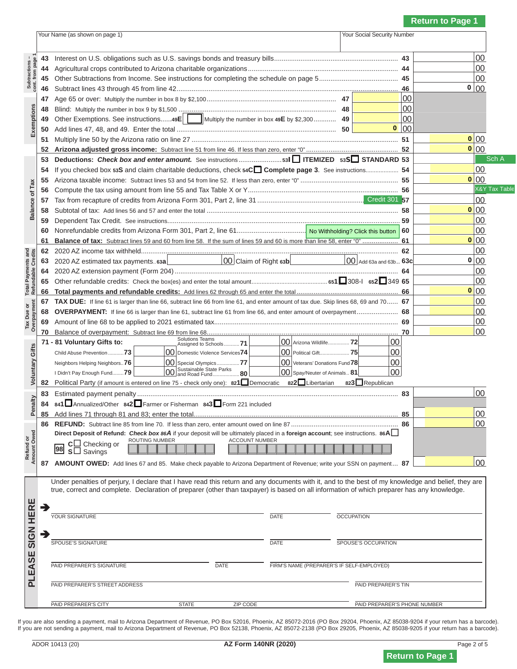## Your Name (as shown on page 1) Your Social Security Number **N O T I C E**

 **45** Other Subtractions from Income. See instructions for completing the schedule on page 5 .......................................... **45** 00 **16** YOU ALE VIEWING this message If you are viewing this message,  **48** Blind: Multiply the number in box 9 by \$1,500 .................................................................................... **48** 00 **this is NOT a complete return.** 

 **52 Arizona adjusted gross income:** Subtract line 51 from line 46. If less than zero, enter "0" ................................................. **52** 00 **Check box and instructions:** Separate and **Box 33** oriental completed return: **To print a completed return:** 

**Total Payments and Refundable Credits 57** Tax from recapture of credits from Arizona Form 301, Part 2, line 31 ........................................................................... **57** 00 **Example 36 and 5 and 5** and 57 and 58 and 58 and 58 and 59 and 59 and 59 and 59 on 59 and 59 on 59 on 59 on 59 00  **59** Dependent Tax Credit. See instructions............................................................................................................................ **59** 00 Reduired Fields are indicated by a "Red Box"  **61 Balance of tax:** Subtract lines 59 and 60 from line 58. If the sum of lines 59 and 60 is more than line 58, enter "0" ................... **61** 00 **12** 2020 AZ income the data field. **did the data field). 63 00 Around the data field).** All required fields must be filled in. :u uv a r **0 (Required Fields are indicated by a "Red Box"** 

**Tax Due or Overpayment 66 Total payments and refundable credits:** Add lines 62 through 65 and enter the total ...................................................... **66** 00  ${\mathsf c}$ K on the Green FRINT Button located at the t  **68 OVERPAYMENT:** If line 66 is larger than line 61, subtract line 61 from line 66, and enter amount of overpayment ...................... **68** 00 **1** Amount of **page 1 Amount of page 1 of page 1.** *page 1. page 1.* **<b>***page 1. page 1. page 1.* **<b>***page 1. page 1. page 1. page 1.* **0 Click on the Green PRINT Button located at the top** 

**Refund or Amount Owed Voluntary Gifts** Neighbors Helping Neighbors..**76** 00 Special Olympics ................**77** 00 Veterans' Donations Fund **78** 00 **NOTE: Clicking the PRINT button will perform the <sup>82</sup>** Political Party (if amount is entered on line 75 - check only one): **821**Democratic **<sup>822</sup>**Libertarian **<sup>823</sup>**Republican **Extimate payment penaltions and state of alculations and <sup>84</sup> <sup>841</sup>**Annualized/Other **<sup>842</sup>**Farmer or Fisherman **<sup>843</sup>**Form 221 included  **85** Add lines 71 through 81 and 83; enter the total............................................................................................................. **85** 00 **update the barcode. barcode**.

**N O T I C E**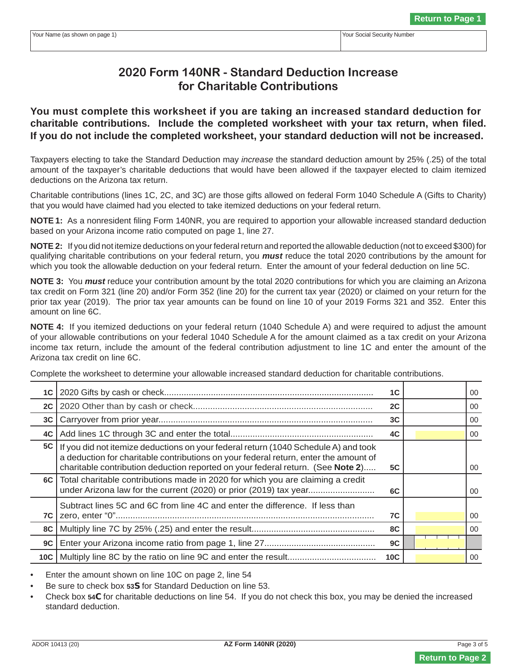## **2020 Form 140NR - Standard Deduction Increase for Charitable Contributions**

**You must complete this worksheet if you are taking an increased standard deduction for charitable contributions. Include the completed worksheet with your tax return, when filed. If you do not include the completed worksheet, your standard deduction will not be increased.** 

Taxpayers electing to take the Standard Deduction may *increase* the standard deduction amount by 25% (.25) of the total amount of the taxpayer's charitable deductions that would have been allowed if the taxpayer elected to claim itemized deductions on the Arizona tax return.

Charitable contributions (lines 1C, 2C, and 3C) are those gifts allowed on federal Form 1040 Schedule A (Gifts to Charity) that you would have claimed had you elected to take itemized deductions on your federal return.

**NOTE 1:** As a nonresident filing Form 140NR, you are required to apportion your allowable increased standard deduction based on your Arizona income ratio computed on page 1, line 27.

**NOTE 2:** If you did not itemize deductions on your federal return and reported the allowable deduction (not to exceed \$300) for qualifying charitable contributions on your federal return, you *must* reduce the total 2020 contributions by the amount for which you took the allowable deduction on your federal return. Enter the amount of your federal deduction on line 5C.

**NOTE 3:** You *must* reduce your contribution amount by the total 2020 contributions for which you are claiming an Arizona tax credit on Form 321 (line 20) and/or Form 352 (line 20) for the current tax year (2020) or claimed on your return for the prior tax year (2019). The prior tax year amounts can be found on line 10 of your 2019 Forms 321 and 352. Enter this amount on line 6C.

**NOTE 4:** If you itemized deductions on your federal return (1040 Schedule A) and were required to adjust the amount of your allowable contributions on your federal 1040 Schedule A for the amount claimed as a tax credit on your Arizona income tax return, include the amount of the federal contribution adjustment to line 1C and enter the amount of the Arizona tax credit on line 6C.

Complete the worksheet to determine your allowable increased standard deduction for charitable contributions.

|     |                                                                                                                                                                                                                                                                | 1C              |  | 00              |
|-----|----------------------------------------------------------------------------------------------------------------------------------------------------------------------------------------------------------------------------------------------------------------|-----------------|--|-----------------|
| 2C  |                                                                                                                                                                                                                                                                | 2C              |  | 00              |
| 3C  |                                                                                                                                                                                                                                                                | 3 <sub>C</sub>  |  | 00              |
| 4C  |                                                                                                                                                                                                                                                                | 4C              |  | 00              |
| 5C  | If you did not itemize deductions on your federal return (1040 Schedule A) and took<br>a deduction for charitable contributions on your federal return, enter the amount of<br>charitable contribution deduction reported on your federal return. (See Note 2) | <b>5C</b>       |  | 00              |
|     | 6C   Total charitable contributions made in 2020 for which you are claiming a credit<br>under Arizona law for the current (2020) or prior (2019) tax year                                                                                                      | 6C              |  | 00 <sup>°</sup> |
| 7C  | Subtract lines 5C and 6C from line 4C and enter the difference. If less than                                                                                                                                                                                   | 7C              |  | 00              |
| 8C  |                                                                                                                                                                                                                                                                | 8C              |  | 00              |
| 9C  |                                                                                                                                                                                                                                                                | 9C              |  |                 |
| 10C |                                                                                                                                                                                                                                                                | 10 <sub>C</sub> |  | 00              |

• Enter the amount shown on line 10C on page 2, line 54

• Be sure to check box **53S** for Standard Deduction on line 53.

• Check box **54C** for charitable deductions on line 54. If you do not check this box, you may be denied the increased standard deduction.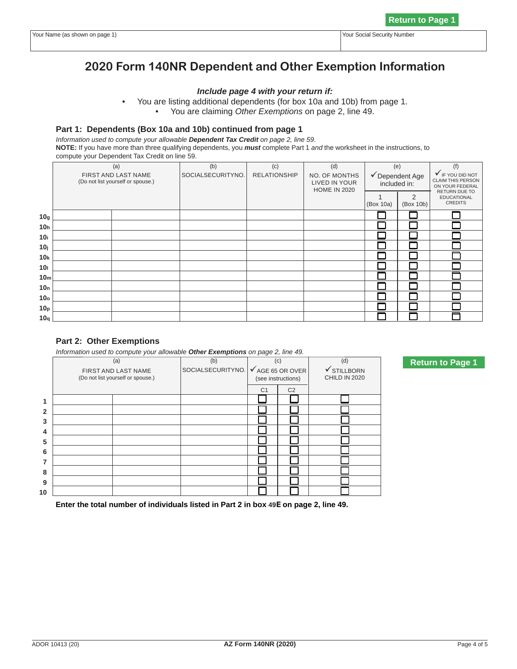## **2020 Form 140NR Dependent and Other Exemption Information**

#### *Include page 4 with your return if:*

- You are listing additional dependents (for box 10a and 10b) from page 1.
	- You are claiming *Other Exemptions* on page 2, line 49.

#### **Part 1: Dependents (Box 10a and 10b) continued from page 1**

*Information used to compute your allowable Dependent Tax Credit on page 2, line 59.*

**NOTE:** If you have more than three qualifying dependents, you *must* complete Part 1 *and* the worksheet in the instructions, to compute your Dependent Tax Credit on line 59.

|                 | (a)                                                      | (b)               | (c)                 | (d)                                                          | (e)                             |                | (f)                                                                       |
|-----------------|----------------------------------------------------------|-------------------|---------------------|--------------------------------------------------------------|---------------------------------|----------------|---------------------------------------------------------------------------|
|                 | FIRST AND LAST NAME<br>(Do not list yourself or spouse.) | SOCIALSECURITYNO. | <b>RELATIONSHIP</b> | <b>NO. OF MONTHS</b><br>LIVED IN YOUR<br><b>HOME IN 2020</b> | ◆ Dependent Age<br>included in: |                | V IF YOU DID NOT<br>CLAIM THIS PERSON<br>ON YOUR FEDERAL<br>RETURN DUE TO |
|                 |                                                          |                   |                     |                                                              | (Box 10a)                       | 2<br>(Box 10b) | <b>EDUCATIONAL</b><br><b>CREDITS</b>                                      |
| 10 <sub>g</sub> |                                                          |                   |                     |                                                              |                                 |                |                                                                           |
| 10 <sub>h</sub> |                                                          |                   |                     |                                                              |                                 |                |                                                                           |
| 10i             |                                                          |                   |                     |                                                              |                                 |                |                                                                           |
| 10 <sub>j</sub> |                                                          |                   |                     |                                                              |                                 |                |                                                                           |
| 10 <sub>k</sub> |                                                          |                   |                     |                                                              |                                 |                |                                                                           |
| 10 <sub>1</sub> |                                                          |                   |                     |                                                              |                                 |                |                                                                           |
| 10 <sub>m</sub> |                                                          |                   |                     |                                                              |                                 |                |                                                                           |
| 10 <sub>n</sub> |                                                          |                   |                     |                                                              |                                 |                |                                                                           |
| 10 <sub>o</sub> |                                                          |                   |                     |                                                              |                                 |                |                                                                           |
| 10 <sub>p</sub> |                                                          |                   |                     |                                                              |                                 |                |                                                                           |
| 10q             |                                                          |                   |                     |                                                              |                                 |                |                                                                           |

#### **Part 2: Other Exemptions**

*Information used to compute your allowable Other Exemptions on page 2, line 49.* 

|                | (a)                                                      | (b)               | (c)                                               |                | (d)                                     |
|----------------|----------------------------------------------------------|-------------------|---------------------------------------------------|----------------|-----------------------------------------|
|                | FIRST AND LAST NAME<br>(Do not list yourself or spouse.) | SOCIALSECURITYNO. | $\checkmark$ AGE 65 OR OVER<br>(see instructions) |                | $\checkmark$ STILLBORN<br>CHILD IN 2020 |
|                |                                                          |                   | C <sub>1</sub>                                    | C <sub>2</sub> |                                         |
|                |                                                          |                   |                                                   |                |                                         |
| $\overline{2}$ |                                                          |                   |                                                   |                |                                         |
| 3              |                                                          |                   |                                                   |                |                                         |
| 4              |                                                          |                   |                                                   |                |                                         |
| 5              |                                                          |                   |                                                   |                |                                         |
| 6              |                                                          |                   |                                                   |                |                                         |
| 7              |                                                          |                   |                                                   |                |                                         |
| 8              |                                                          |                   |                                                   |                |                                         |
| 9              |                                                          |                   |                                                   |                |                                         |
| 10             |                                                          |                   |                                                   |                |                                         |

 **Enter the total number of individuals listed in Part 2 in box 49E on page 2, line 49.**

**Return to Page 1**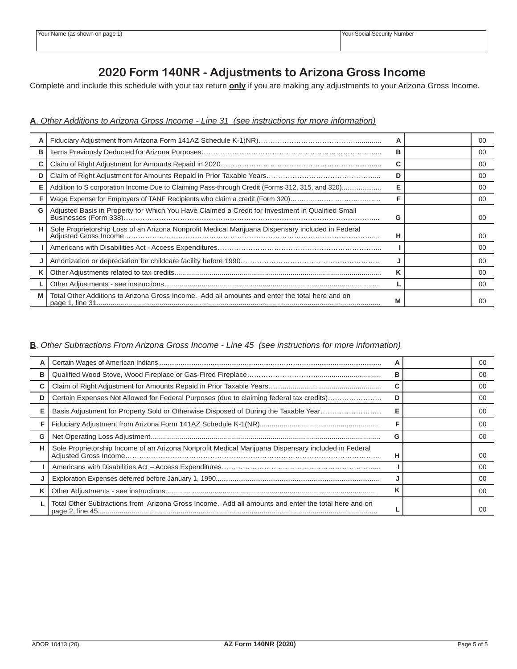## **2020 Form 140NR - Adjustments to Arizona Gross Income**

Complete and include this schedule with your tax return **only** if you are making any adjustments to your Arizona Gross Income.

### **A**. *Other Additions to Arizona Gross Income - Line 31 (see instructions for more information)*

|    |                                                                                                |   | 00 |
|----|------------------------------------------------------------------------------------------------|---|----|
| в  |                                                                                                | в | 00 |
|    |                                                                                                |   | 00 |
|    |                                                                                                |   | 00 |
| Е  | Addition to S corporation Income Due to Claiming Pass-through Credit (Forms 312, 315, and 320) |   | 00 |
|    |                                                                                                |   | 00 |
| G  |                                                                                                | G | 00 |
| н. |                                                                                                | н | 00 |
|    |                                                                                                |   | 00 |
|    |                                                                                                |   | 00 |
|    |                                                                                                | κ | 00 |
|    |                                                                                                |   | 00 |
| М  | Total Other Additions to Arizona Gross Income. Add all amounts and enter the total here and on | М | ΩO |

## **B**. *Other Subtractions From Arizona Gross Income - Line 45 (see instructions for more information)*

|   |                                                                                                     |   | 00 |
|---|-----------------------------------------------------------------------------------------------------|---|----|
| в |                                                                                                     | в | 00 |
|   |                                                                                                     |   | 00 |
| D | Certain Expenses Not Allowed for Federal Purposes (due to claiming federal tax credits)             | D | 00 |
| Е | Basis Adjustment for Property Sold or Otherwise Disposed of During the Taxable Year                 |   | 00 |
|   |                                                                                                     |   | 00 |
| G |                                                                                                     |   | 00 |
| н | Sole Proprietorship Income of an Arizona Nonprofit Medical Marijuana Dispensary included in Federal | п | 00 |
|   |                                                                                                     |   | 00 |
|   |                                                                                                     |   | 00 |
|   |                                                                                                     |   | 00 |
|   | Total Other Subtractions from Arizona Gross Income. Add all amounts and enter the total here and on |   | n  |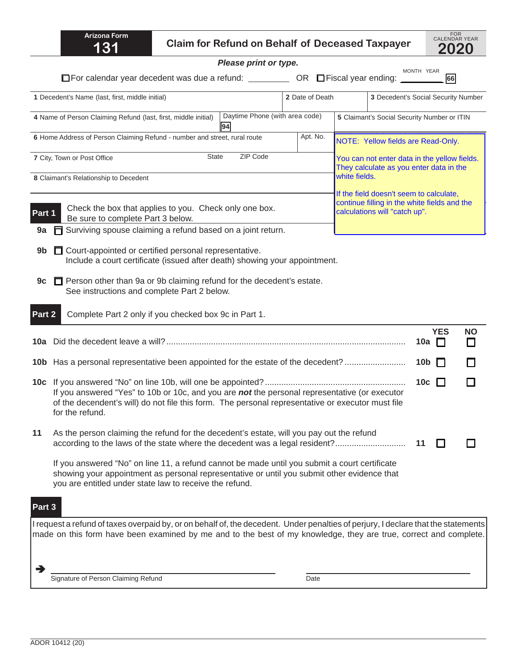|        | <b>Arizona Form</b><br>131                                     | <b>Claim for Refund on Behalf of Deceased Taxpayer</b>                                                                                                                                                                                                |                                |               |                                                                                                                          |                      | FOR<br>CALENDAR YEAR<br>2020 |
|--------|----------------------------------------------------------------|-------------------------------------------------------------------------------------------------------------------------------------------------------------------------------------------------------------------------------------------------------|--------------------------------|---------------|--------------------------------------------------------------------------------------------------------------------------|----------------------|------------------------------|
|        |                                                                | Please print or type.                                                                                                                                                                                                                                 |                                |               |                                                                                                                          |                      |                              |
|        |                                                                |                                                                                                                                                                                                                                                       |                                |               | MONTH YEAR                                                                                                               | 66                   |                              |
|        | 1 Decedent's Name (last, first, middle initial)                |                                                                                                                                                                                                                                                       | 2 Date of Death                |               | 3 Decedent's Social Security Number                                                                                      |                      |                              |
|        | 4 Name of Person Claiming Refund (last, first, middle initial) | 94                                                                                                                                                                                                                                                    | Daytime Phone (with area code) |               | 5 Claimant's Social Security Number or ITIN                                                                              |                      |                              |
|        |                                                                | 6 Home Address of Person Claiming Refund - number and street, rural route                                                                                                                                                                             | Apt. No.                       |               | NOTE: Yellow fields are Read-Only.                                                                                       |                      |                              |
|        | 7 City, Town or Post Office                                    | ZIP Code<br><b>State</b>                                                                                                                                                                                                                              |                                |               | You can not enter data in the yellow fields.<br>They calculate as you enter data in the                                  |                      |                              |
|        | 8 Claimant's Relationship to Decedent                          |                                                                                                                                                                                                                                                       |                                | white fields. |                                                                                                                          |                      |                              |
| Part 1 | Be sure to complete Part 3 below.                              | Check the box that applies to you. Check only one box.                                                                                                                                                                                                |                                |               | If the field doesn't seem to calculate,<br>continue filling in the white fields and the<br>calculations will "catch up". |                      |                              |
| 9a     |                                                                | Surviving spouse claiming a refund based on a joint return.                                                                                                                                                                                           |                                |               |                                                                                                                          |                      |                              |
| 9b     |                                                                | Court-appointed or certified personal representative.<br>Include a court certificate (issued after death) showing your appointment.                                                                                                                   |                                |               |                                                                                                                          |                      |                              |
| 9c     | See instructions and complete Part 2 below.                    | <b>T</b> Person other than 9a or 9b claiming refund for the decedent's estate.                                                                                                                                                                        |                                |               |                                                                                                                          |                      |                              |
| Part 2 |                                                                | Complete Part 2 only if you checked box 9c in Part 1.                                                                                                                                                                                                 |                                |               |                                                                                                                          |                      |                              |
|        |                                                                |                                                                                                                                                                                                                                                       |                                |               | 10a                                                                                                                      | <b>YES</b><br>$\Box$ | <b>NO</b>                    |
|        |                                                                | 10b Has a personal representative been appointed for the estate of the decedent?                                                                                                                                                                      |                                |               | 10 <sub>b</sub>                                                                                                          |                      |                              |
|        | for the refund.                                                | If you answered "Yes" to 10b or 10c, and you are not the personal representative (or executor<br>of the decendent's will) do not file this form. The personal representative or executor must file                                                    |                                |               |                                                                                                                          | 10c $\Box$           |                              |
| 11     |                                                                | As the person claiming the refund for the decedent's estate, will you pay out the refund<br>according to the laws of the state where the decedent was a legal resident?                                                                               |                                |               | 11                                                                                                                       |                      |                              |
|        | you are entitled under state law to receive the refund.        | If you answered "No" on line 11, a refund cannot be made until you submit a court certificate<br>showing your appointment as personal representative or until you submit other evidence that                                                          |                                |               |                                                                                                                          |                      |                              |
| Part 3 |                                                                |                                                                                                                                                                                                                                                       |                                |               |                                                                                                                          |                      |                              |
|        |                                                                | I request a refund of taxes overpaid by, or on behalf of, the decedent. Under penalties of perjury, I declare that the statements<br>made on this form have been examined by me and to the best of my knowledge, they are true, correct and complete. |                                |               |                                                                                                                          |                      |                              |
|        | Signature of Person Claiming Refund                            |                                                                                                                                                                                                                                                       | Date                           |               |                                                                                                                          |                      |                              |